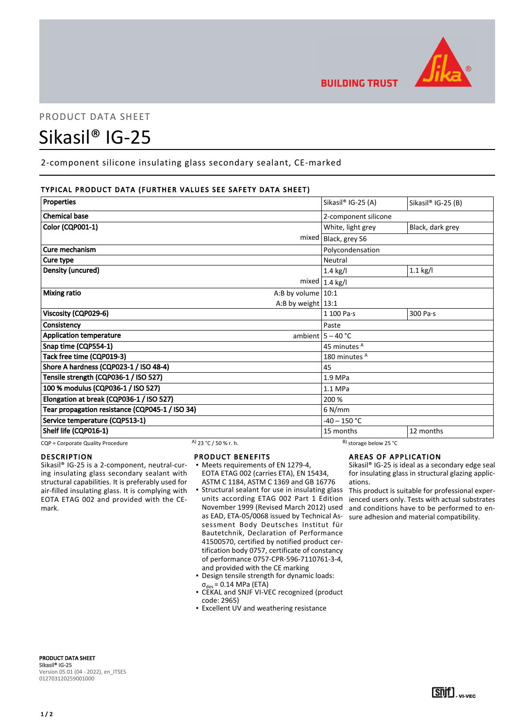

# PRODUCT DATA SHEET

# Sikasil® IG-25

2-component silicone insulating glass secondary sealant, CE-marked

# TYPICAL PRODUCT DATA (FURTHER VALUES SEE SAFETY DATA SHEET)

| Properties                                      | Sikasil® IG-25 (A)      | Sikasil® IG-25 (B) |
|-------------------------------------------------|-------------------------|--------------------|
|                                                 |                         |                    |
| <b>Chemical base</b>                            | 2-component silicone    |                    |
| <b>Color (CQP001-1)</b>                         | White, light grey       | Black, dark grey   |
| mixed                                           | Black, grey S6          |                    |
| Cure mechanism                                  | Polycondensation        |                    |
| Cure type                                       | Neutral                 |                    |
| Density (uncured)                               | $1.4$ kg/l              | $1.1$ kg/l         |
|                                                 | mixed $1.4$ kg/l        |                    |
| <b>Mixing ratio</b><br>A:B by volume $ 10:1$    |                         |                    |
| A:B by weight $13:1$                            |                         |                    |
| Viscosity (CQP029-6)                            | 1 100 Pa·s              | 300 Pa·s           |
| Consistency                                     | Paste                   |                    |
| <b>Application temperature</b>                  | ambient $5 - 40$ °C     |                    |
| Snap time (CQP554-1)                            | 45 minutes <sup>A</sup> |                    |
| Tack free time (CQP019-3)                       | 180 minutes A           |                    |
| Shore A hardness (CQP023-1 / ISO 48-4)          | 45                      |                    |
| Tensile strength (CQP036-1 / ISO 527)           | 1.9 MPa                 |                    |
| 100 % modulus (CQP036-1 / ISO 527)              | 1.1 MPa                 |                    |
| Elongation at break (CQP036-1 / ISO 527)        | 200 %                   |                    |
| Tear propagation resistance (CQP045-1 / ISO 34) | $6$ N/mm                |                    |
| Service temperature (CQP513-1)                  | $-40 - 150$ °C          |                    |
| Shelf life (CQP016-1)                           | 15 months               | 12 months          |

CQP = Corporate Quality Procedure A) 23 °C / 50 % r. h. B) storage below 25 °C

# DESCRIPTION

Sikasil® IG-25 is a 2-component, neutral-curing insulating glass secondary sealant with structural capabilities. It is preferably used for air-filled insulating glass. It is complying with EOTA ETAG 002 and provided with the CEmark.

# PRODUCT BENEFITS

- Meets requirements of EN 1279-4, EOTA ETAG 002 (carries ETA), EN 15434, ASTM C 1184, ASTM C 1369 and GB 16776
- **Structural sealant for use in insulating glass** units according ETAG 002 Part 1 Edition November 1999 (Revised March 2012) used as EAD, ETA-05/0068 issued by Technical Assessment Body Deutsches Institut für Bautetchnik, Declaration of Performance 41500570, certified by notified product certification body 0757, certificate of constancy of performance 0757-CPR-596-7110761-3-4, and provided with the CE marking
- Design tensile strength for dynamic loads:  $\sigma_{des}$  = 0.14 MPa (ETA)
- CEKAL and SNJF VI-VEC recognized (product code: 2965)
- **Excellent UV and weathering resistance**

# AREAS OF APPLICATION

Sikasil® IG-25 is ideal as a secondary edge seal for insulating glass in structural glazing applications.

This product is suitable for professional experienced users only. Tests with actual substrates and conditions have to be performed to ensure adhesion and material compatibility.